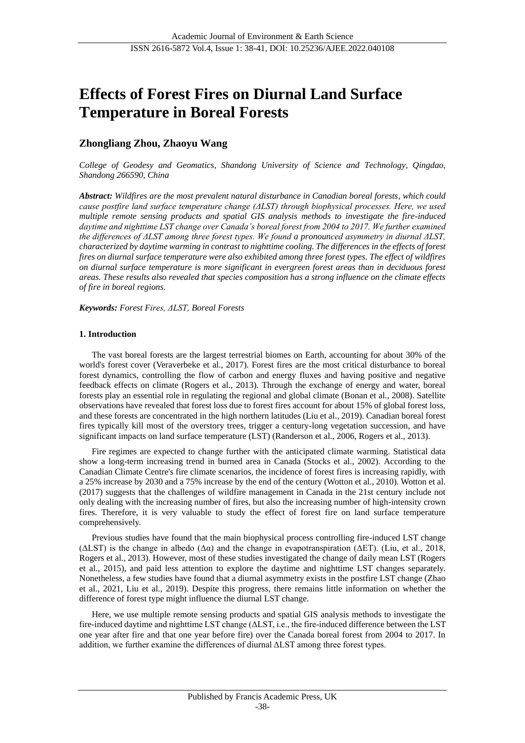# **Effects of Forest Fires on Diurnal Land Surface Temperature in Boreal Forests**

# **Zhongliang Zhou, Zhaoyu Wang**

*College of Geodesy and Geomatics, Shandong University of Science and Technology, Qingdao, Shandong 266590, China*

*Abstract: Wildfires are the most prevalent natural disturbance in Canadian boreal forests, which could cause postfire land surface temperature change (ΔLST) through biophysical processes. Here, we used multiple remote sensing products and spatial GIS analysis methods to investigate the fire-induced*  daytime and nighttime LST change over Canada's boreal forest from 2004 to 2017. We further examined *the differences of ΔLST among three forest types. We found a pronounced asymmetry in diurnal ΔLST, characterized by daytime warming in contrast to nighttime cooling. The differences in the effects of forest fires on diurnal surface temperature were also exhibited among three forest types. The effect of wildfires on diurnal surface temperature is more significant in evergreen forest areas than in deciduous forest areas. These results also revealed that species composition has a strong influence on the climate effects of fire in boreal regions.*

*Keywords: Forest Fires, ΔLST, Boreal Forests*

### **1. Introduction**

The vast boreal forests are the largest terrestrial biomes on Earth, accounting for about 30% of the world's forest cover (Veraverbeke et al., 2017). Forest fires are the most critical disturbance to boreal forest dynamics, controlling the flow of carbon and energy fluxes and having positive and negative feedback effects on climate (Rogers et al., 2013). Through the exchange of energy and water, boreal forests play an essential role in regulating the regional and global climate (Bonan et al., 2008). Satellite observations have revealed that forest loss due to forest fires account for about 15% of global forest loss, and these forests are concentrated in the high northern latitudes (Liu et al., 2019). Canadian boreal forest fires typically kill most of the overstory trees, trigger a century-long vegetation succession, and have significant impacts on land surface temperature (LST) (Randerson et al., 2006, Rogers et al., 2013).

Fire regimes are expected to change further with the anticipated climate warming. Statistical data show a long-term increasing trend in burned area in Canada (Stocks et al., 2002). According to the Canadian Climate Centre's fire climate scenarios, the incidence of forest fires is increasing rapidly, with a 25% increase by 2030 and a 75% increase by the end of the century (Wotton et al., 2010). Wotton et al. (2017) suggests that the challenges of wildfire management in Canada in the 21st century include not only dealing with the increasing number of fires, but also the increasing number of high-intensity crown fires. Therefore, it is very valuable to study the effect of forest fire on land surface temperature comprehensively.

Previous studies have found that the main biophysical process controlling fire-induced LST change ( $\Delta$ LST) is the change in albedo ( $\Delta \alpha$ ) and the change in evapotranspiration ( $\Delta$ ET). (Liu, et al., 2018, Rogers et al., 2013). However, most of these studies investigated the change of daily mean LST (Rogers et al., 2015), and paid less attention to explore the daytime and nighttime LST changes separately. Nonetheless, a few studies have found that a diurnal asymmetry exists in the postfire LST change (Zhao et al., 2021, Liu et al., 2019). Despite this progress, there remains little information on whether the difference of forest type might influence the diurnal LST change.

Here, we use multiple remote sensing products and spatial GIS analysis methods to investigate the fire-induced daytime and nighttime LST change (ΔLST, i.e., the fire-induced difference between the LST one year after fire and that one year before fire) over the Canada boreal forest from 2004 to 2017. In addition, we further examine the differences of diurnal ΔLST among three forest types.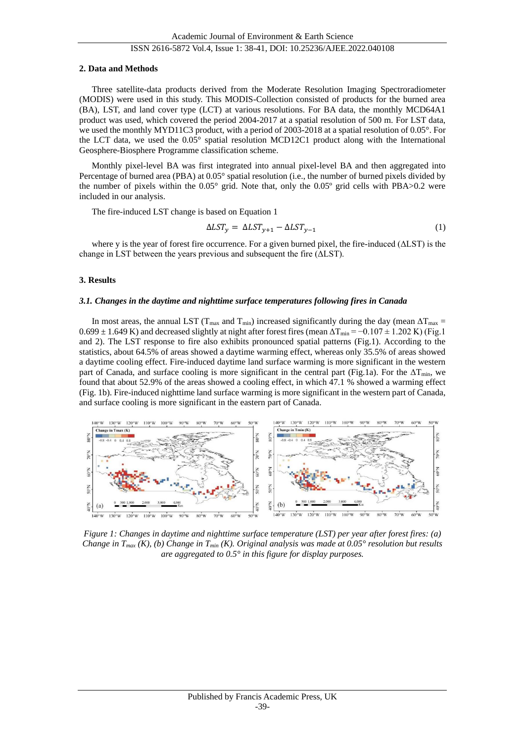#### ISSN 2616-5872 Vol.4, Issue 1: 38-41, DOI: 10.25236/AJEE.2022.040108

#### **2. Data and Methods**

Three satellite-data products derived from the Moderate Resolution Imaging Spectroradiometer (MODIS) were used in this study. This MODIS-Collection consisted of products for the burned area (BA), LST, and land cover type (LCT) at various resolutions. For BA data, the monthly MCD64A1 product was used, which covered the period 2004-2017 at a spatial resolution of 500 m. For LST data, we used the monthly MYD11C3 product, with a period of 2003-2018 at a spatial resolution of 0.05°. For the LCT data, we used the 0.05° spatial resolution MCD12C1 product along with the International Geosphere-Biosphere Programme classification scheme.

Monthly pixel-level BA was first integrated into annual pixel-level BA and then aggregated into Percentage of burned area (PBA) at 0.05° spatial resolution (i.e., the number of burned pixels divided by the number of pixels within the 0.05° grid. Note that, only the 0.05º grid cells with PBA>0.2 were included in our analysis.

The fire-induced LST change is based on Equation 1

$$
\Delta LST_y = \Delta LST_{y+1} - \Delta LST_{y-1} \tag{1}
$$

where y is the year of forest fire occurrence. For a given burned pixel, the fire-induced (ΔLST) is the change in LST between the years previous and subsequent the fire (ΔLST).

#### **3. Results**

#### *3.1. Changes in the daytime and nighttime surface temperatures following fires in Canada*

In most areas, the annual LST (T<sub>max</sub> and T<sub>min</sub>) increased significantly during the day (mean  $\Delta T_{\text{max}} =$  $0.699 \pm 1.649$  K) and decreased slightly at night after forest fires (mean  $\Delta T_{\text{min}} = -0.107 \pm 1.202$  K) (Fig.1 and 2). The LST response to fire also exhibits pronounced spatial patterns (Fig.1). According to the statistics, about 64.5% of areas showed a daytime warming effect, whereas only 35.5% of areas showed a daytime cooling effect. Fire-induced daytime land surface warming is more significant in the western part of Canada, and surface cooling is more significant in the central part (Fig.1a). For the  $\Delta T_{\text{min}}$ , we found that about 52.9% of the areas showed a cooling effect, in which 47.1 % showed a warming effect (Fig. 1b). Fire-induced nighttime land surface warming is more significant in the western part of Canada, and surface cooling is more significant in the eastern part of Canada.



*Figure 1: Changes in daytime and nighttime surface temperature (LST) per year after forest fires: (a) Change in T<sub><i>max*</sub> (K), (b) Change in T<sub>*min*</sub> (K). Original analysis was made at 0.05 ° resolution but results *are aggregated to 0.5° in this figure for display purposes.*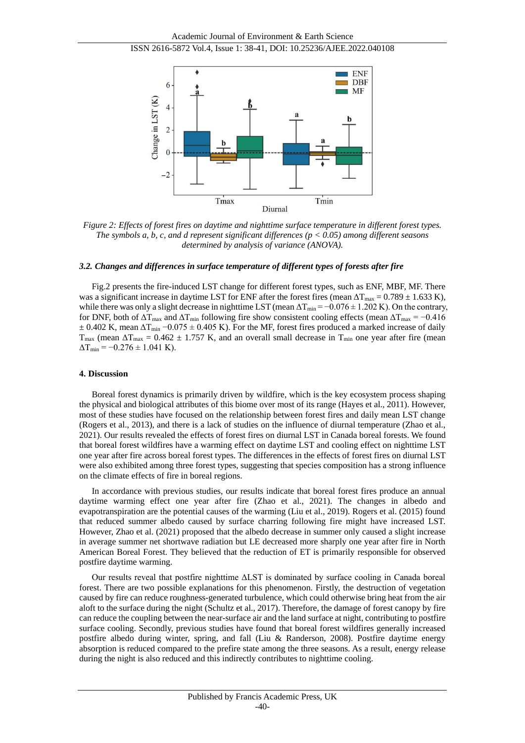

*Figure 2: Effects of forest fires on daytime and nighttime surface temperature in different forest types. The symbols a, b, c, and d represent significant differences (p < 0.05) among different seasons determined by analysis of variance (ANOVA).*

#### *3.2. Changes and differences in surface temperature of different types of forests after fire*

Fig.2 presents the fire-induced LST change for different forest types, such as ENF, MBF, MF. There was a significant increase in daytime LST for ENF after the forest fires (mean  $\Delta T_{\text{max}} = 0.789 \pm 1.633 \text{ K}$ ), while there was only a slight decrease in nighttime LST (mean  $\Delta T_{min} = -0.076 \pm 1.202$  K). On the contrary, for DNF, both of  $\Delta T_{\text{max}}$  and  $\Delta T_{\text{min}}$  following fire show consistent cooling effects (mean  $\Delta T_{\text{max}} = -0.416$  $\pm 0.402$  K, mean  $\Delta T_{\text{min}} - 0.075 \pm 0.405$  K). For the MF, forest fires produced a marked increase of daily  $T_{\text{max}}$  (mean  $\Delta T_{\text{max}} = 0.462 \pm 1.757$  K, and an overall small decrease in  $T_{\text{min}}$  one year after fire (mean  $\Delta$ T<sub>min</sub> =  $-0.276 \pm 1.041$  K).

#### **4. Discussion**

Boreal forest dynamics is primarily driven by wildfire, which is the key ecosystem process shaping the physical and biological attributes of this biome over most of its range (Hayes et al., 2011). However, most of these studies have focused on the relationship between forest fires and daily mean LST change (Rogers et al., 2013), and there is a lack of studies on the influence of diurnal temperature (Zhao et al., 2021). Our results revealed the effects of forest fires on diurnal LST in Canada boreal forests. We found that boreal forest wildfires have a warming effect on daytime LST and cooling effect on nighttime LST one year after fire across boreal forest types. The differences in the effects of forest fires on diurnal LST were also exhibited among three forest types, suggesting that species composition has a strong influence on the climate effects of fire in boreal regions.

In accordance with previous studies, our results indicate that boreal forest fires produce an annual daytime warming effect one year after fire (Zhao et al., 2021). The changes in albedo and evapotranspiration are the potential causes of the warming (Liu et al., 2019). Rogers et al. (2015) found that reduced summer albedo caused by surface charring following fire might have increased LST. However, Zhao et al. (2021) proposed that the albedo decrease in summer only caused a slight increase in average summer net shortwave radiation but LE decreased more sharply one year after fire in North American Boreal Forest. They believed that the reduction of ET is primarily responsible for observed postfire daytime warming.

Our results reveal that postfire nighttime ΔLST is dominated by surface cooling in Canada boreal forest. There are two possible explanations for this phenomenon. Firstly, the destruction of vegetation caused by fire can reduce roughness-generated turbulence, which could otherwise bring heat from the air aloft to the surface during the night (Schultz et al., 2017). Therefore, the damage of forest canopy by fire can reduce the coupling between the near-surface air and the land surface at night, contributing to postfire surface cooling. Secondly, previous studies have found that boreal forest wildfires generally increased postfire albedo during winter, spring, and fall (Liu & Randerson, 2008). Postfire daytime energy absorption is reduced compared to the prefire state among the three seasons. As a result, energy release during the night is also reduced and this indirectly contributes to nighttime cooling.